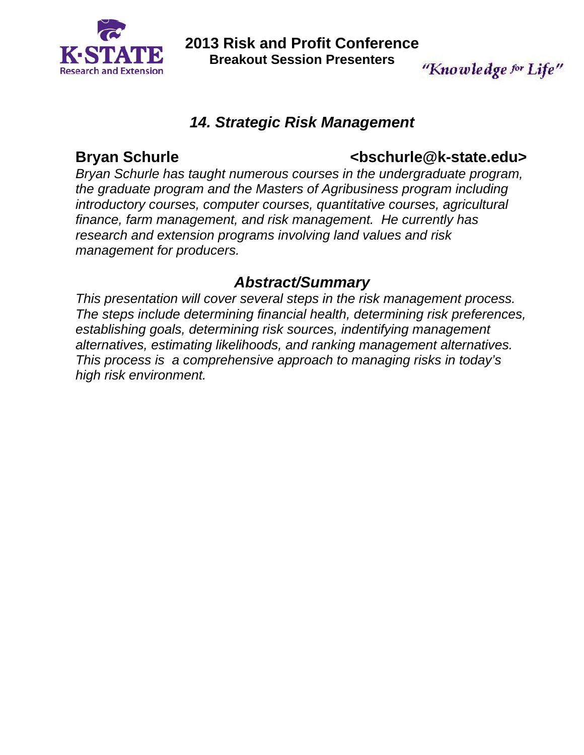

**2013 Risk and Profit Conference Breakout Session Presenters**  "Knowledge for Life"

## *14. Strategic Risk Management*

# **Bryan Schurle <bschurle@k-state.edu>**

*Bryan Schurle has taught numerous courses in the undergraduate program, the graduate program and the Masters of Agribusiness program including introductory courses, computer courses, quantitative courses, agricultural finance, farm management, and risk management. He currently has research and extension programs involving land values and risk management for producers.* 

# *Abstract/Summary*

*This presentation will cover several steps in the risk management process. The steps include determining financial health, determining risk preferences, establishing goals, determining risk sources, indentifying management alternatives, estimating likelihoods, and ranking management alternatives. This process is a comprehensive approach to managing risks in today's high risk environment.*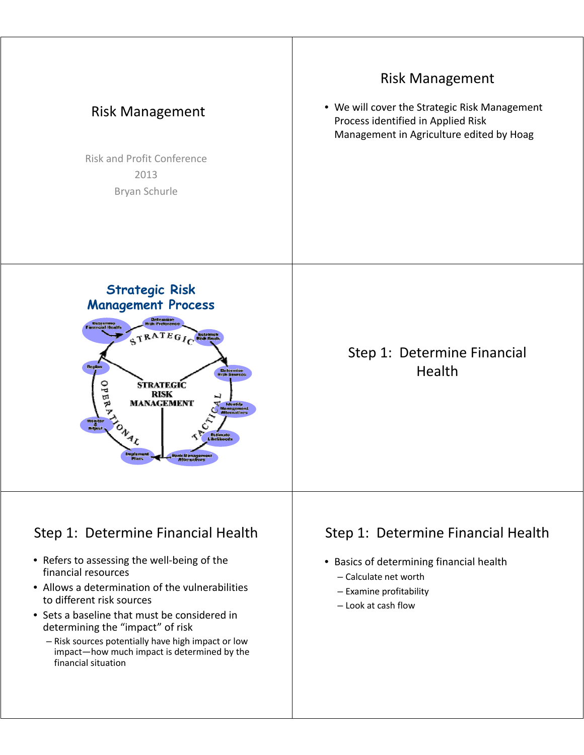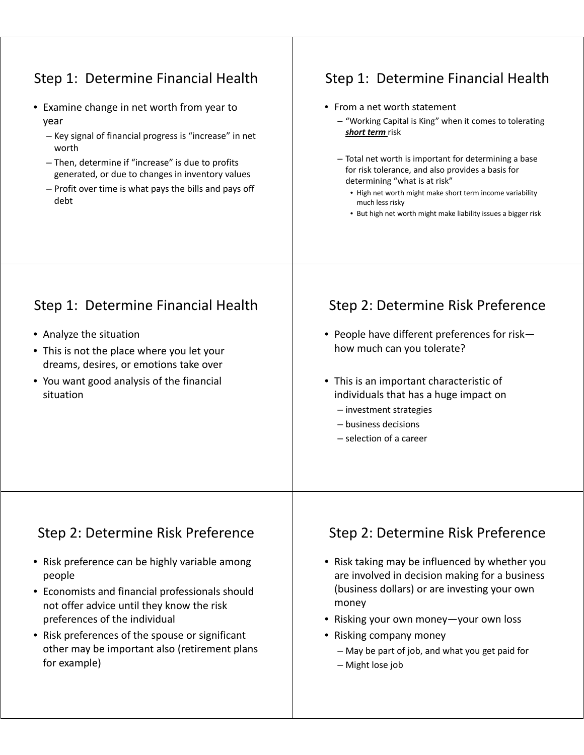| Step 1: Determine Financial Health<br>Examine change in net worth from year to<br>year<br>- Key signal of financial progress is "increase" in net<br>worth<br>- Then, determine if "increase" is due to profits<br>generated, or due to changes in inventory values<br>- Profit over time is what pays the bills and pays off<br>debt                         | Step 1: Determine Financial Health<br>• From a net worth statement<br>- "Working Capital is King" when it comes to tolerating<br>short term risk<br>- Total net worth is important for determining a base<br>for risk tolerance, and also provides a basis for<br>determining "what is at risk"<br>• High net worth might make short term income variability<br>much less risky<br>• But high net worth might make liability issues a bigger risk |
|---------------------------------------------------------------------------------------------------------------------------------------------------------------------------------------------------------------------------------------------------------------------------------------------------------------------------------------------------------------|---------------------------------------------------------------------------------------------------------------------------------------------------------------------------------------------------------------------------------------------------------------------------------------------------------------------------------------------------------------------------------------------------------------------------------------------------|
| Step 1: Determine Financial Health<br>• Analyze the situation<br>• This is not the place where you let your<br>dreams, desires, or emotions take over<br>• You want good analysis of the financial<br>situation                                                                                                                                               | Step 2: Determine Risk Preference<br>• People have different preferences for risk-<br>how much can you tolerate?<br>• This is an important characteristic of<br>individuals that has a huge impact on<br>- investment strategies<br>- business decisions<br>- selection of a career                                                                                                                                                               |
| Step 2: Determine Risk Preference<br>• Risk preference can be highly variable among<br>people<br>Economists and financial professionals should<br>$\bullet$<br>not offer advice until they know the risk<br>preferences of the individual<br>• Risk preferences of the spouse or significant<br>other may be important also (retirement plans<br>for example) | Step 2: Determine Risk Preference<br>• Risk taking may be influenced by whether you<br>are involved in decision making for a business<br>(business dollars) or are investing your own<br>money<br>• Risking your own money-your own loss<br>• Risking company money<br>- May be part of job, and what you get paid for<br>- Might lose job                                                                                                        |

 $\mathbf{I}$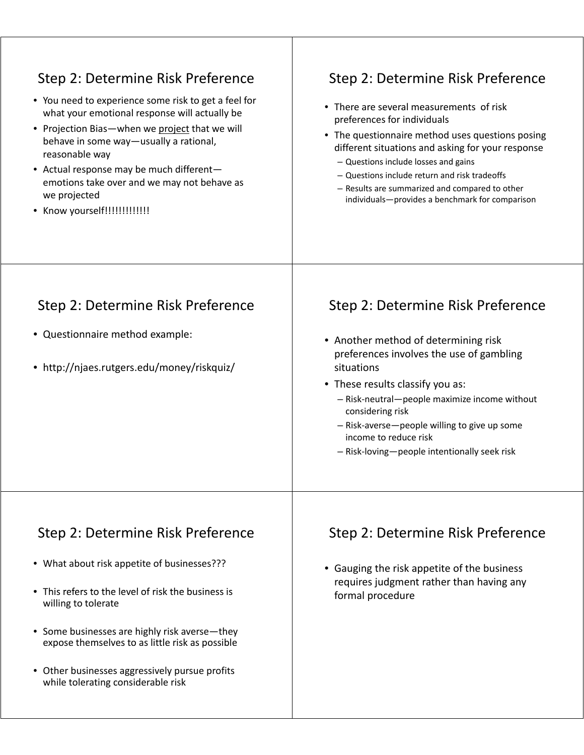| Step 2: Determine Risk Preference<br>• You need to experience some risk to get a feel for<br>what your emotional response will actually be<br>• Projection Bias-when we project that we will<br>behave in some way-usually a rational,<br>reasonable way<br>• Actual response may be much different-<br>emotions take over and we may not behave as<br>we projected<br>Know yourself!!!!!!!!!!!!! | Step 2: Determine Risk Preference<br>• There are several measurements of risk<br>preferences for individuals<br>• The questionnaire method uses questions posing<br>different situations and asking for your response<br>- Questions include losses and gains<br>- Questions include return and risk tradeoffs<br>- Results are summarized and compared to other<br>individuals-provides a benchmark for comparison |
|---------------------------------------------------------------------------------------------------------------------------------------------------------------------------------------------------------------------------------------------------------------------------------------------------------------------------------------------------------------------------------------------------|---------------------------------------------------------------------------------------------------------------------------------------------------------------------------------------------------------------------------------------------------------------------------------------------------------------------------------------------------------------------------------------------------------------------|
| Step 2: Determine Risk Preference<br>• Questionnaire method example:<br>• http://njaes.rutgers.edu/money/riskquiz/                                                                                                                                                                                                                                                                                | Step 2: Determine Risk Preference<br>• Another method of determining risk<br>preferences involves the use of gambling<br>situations<br>• These results classify you as:<br>- Risk-neutral-people maximize income without<br>considering risk<br>- Risk-averse-people willing to give up some<br>income to reduce risk<br>- Risk-loving-people intentionally seek risk                                               |
| Step 2: Determine Risk Preference<br>• What about risk appetite of businesses???<br>This refers to the level of risk the business is<br>willing to tolerate<br>• Some businesses are highly risk averse—they<br>expose themselves to as little risk as possible<br>• Other businesses aggressively pursue profits<br>while tolerating considerable risk                                           | Step 2: Determine Risk Preference<br>• Gauging the risk appetite of the business<br>requires judgment rather than having any<br>formal procedure                                                                                                                                                                                                                                                                    |

 $\mathbf{I}$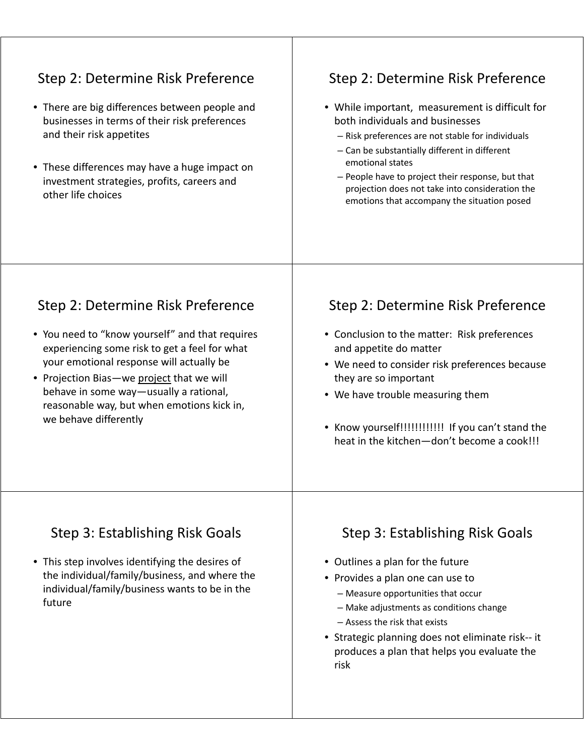| Step 2: Determine Risk Preference<br>• There are big differences between people and<br>businesses in terms of their risk preferences<br>and their risk appetites<br>• These differences may have a huge impact on<br>investment strategies, profits, careers and<br>other life choices                                                          | Step 2: Determine Risk Preference<br>• While important, measurement is difficult for<br>both individuals and businesses<br>- Risk preferences are not stable for individuals<br>- Can be substantially different in different<br>emotional states<br>- People have to project their response, but that<br>projection does not take into consideration the<br>emotions that accompany the situation posed |
|-------------------------------------------------------------------------------------------------------------------------------------------------------------------------------------------------------------------------------------------------------------------------------------------------------------------------------------------------|----------------------------------------------------------------------------------------------------------------------------------------------------------------------------------------------------------------------------------------------------------------------------------------------------------------------------------------------------------------------------------------------------------|
| Step 2: Determine Risk Preference<br>• You need to "know yourself" and that requires<br>experiencing some risk to get a feel for what<br>your emotional response will actually be<br>• Projection Bias-we project that we will<br>behave in some way-usually a rational,<br>reasonable way, but when emotions kick in,<br>we behave differently | Step 2: Determine Risk Preference<br>• Conclusion to the matter: Risk preferences<br>and appetite do matter<br>• We need to consider risk preferences because<br>they are so important<br>• We have trouble measuring them<br>• Know yourself!!!!!!!!!!!! If you can't stand the<br>heat in the kitchen-don't become a cook!!!                                                                           |
| Step 3: Establishing Risk Goals<br>• This step involves identifying the desires of<br>the individual/family/business, and where the<br>individual/family/business wants to be in the<br>future                                                                                                                                                  | Step 3: Establishing Risk Goals<br>• Outlines a plan for the future<br>• Provides a plan one can use to<br>- Measure opportunities that occur<br>- Make adjustments as conditions change<br>- Assess the risk that exists<br>• Strategic planning does not eliminate risk-- it<br>produces a plan that helps you evaluate the<br>risk                                                                    |

 $\perp$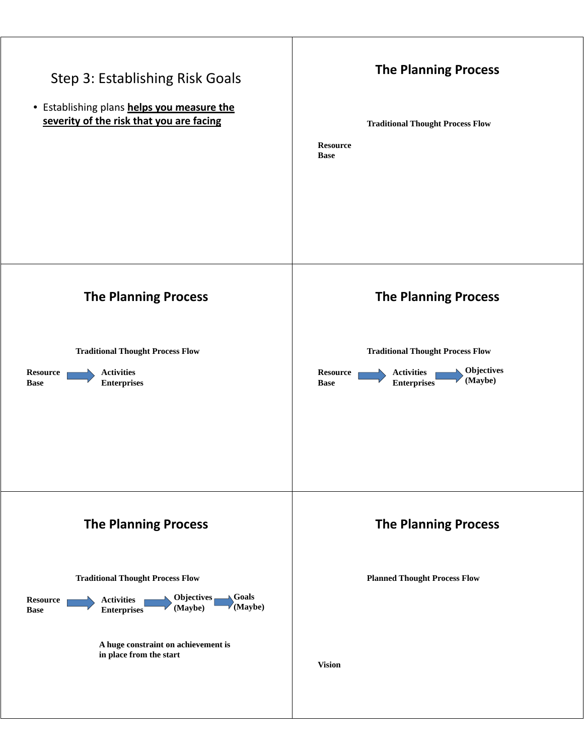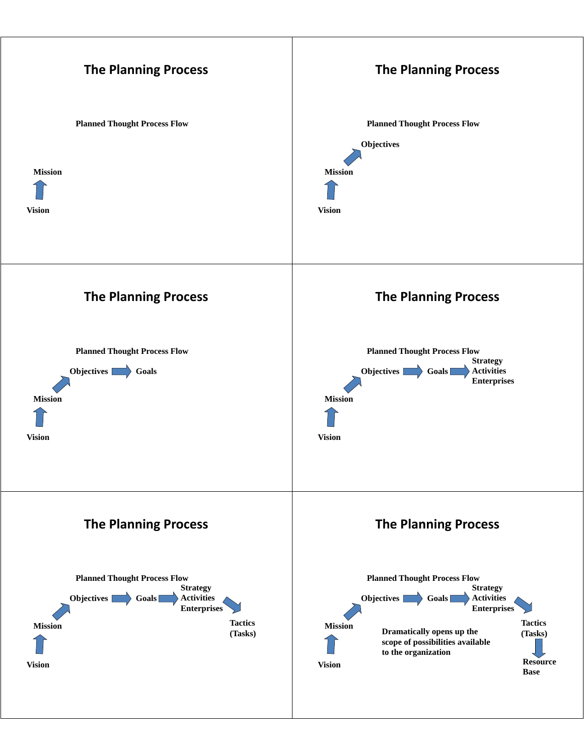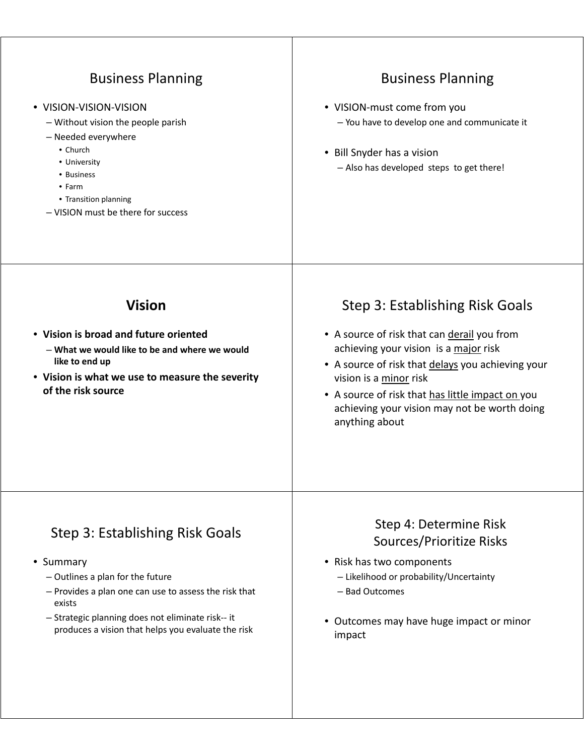| <b>Business Planning</b><br>• VISION-VISION-VISION<br>- Without vision the people parish<br>- Needed everywhere<br>• Church<br>• University<br>• Business<br>$\bullet$ Farm<br>• Transition planning<br>- VISION must be there for success                       | <b>Business Planning</b><br>• VISION-must come from you<br>- You have to develop one and communicate it<br>• Bill Snyder has a vision<br>- Also has developed steps to get there!                                                                                                                                            |
|------------------------------------------------------------------------------------------------------------------------------------------------------------------------------------------------------------------------------------------------------------------|------------------------------------------------------------------------------------------------------------------------------------------------------------------------------------------------------------------------------------------------------------------------------------------------------------------------------|
| <b>Vision</b><br>• Vision is broad and future oriented<br>- What we would like to be and where we would<br>like to end up<br>• Vision is what we use to measure the severity<br>of the risk source                                                               | Step 3: Establishing Risk Goals<br>• A source of risk that can derail you from<br>achieving your vision is a major risk<br>• A source of risk that delays you achieving your<br>vision is a minor risk<br>• A source of risk that has little impact on you<br>achieving your vision may not be worth doing<br>anything about |
| Step 3: Establishing Risk Goals<br>• Summary<br>$-$ Outlines a plan for the future<br>- Provides a plan one can use to assess the risk that<br>exists<br>- Strategic planning does not eliminate risk-- it<br>produces a vision that helps you evaluate the risk | Step 4: Determine Risk<br>Sources/Prioritize Risks<br>• Risk has two components<br>- Likelihood or probability/Uncertainty<br>- Bad Outcomes<br>• Outcomes may have huge impact or minor<br>impact                                                                                                                           |

 $\perp$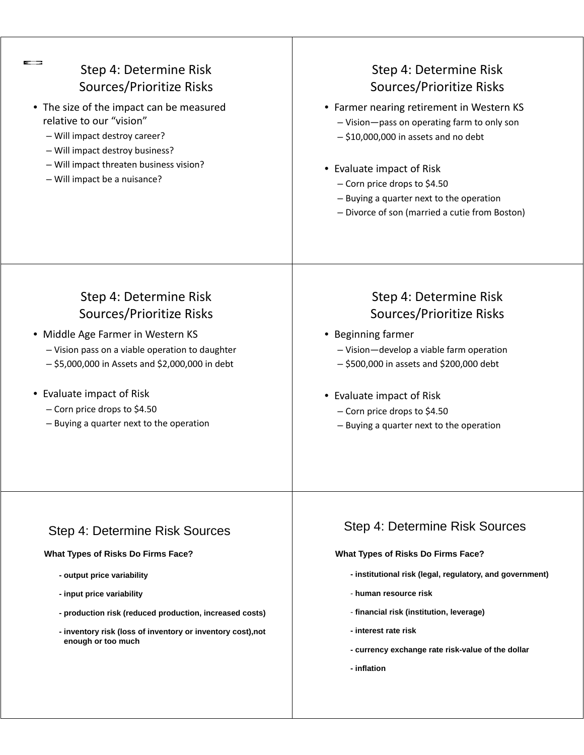| Step 4: Determine Risk<br>Sources/Prioritize Risks<br>The size of the impact can be measured<br>relative to our "vision"<br>- Will impact destroy career?<br>- Will impact destroy business?<br>- Will impact threaten business vision?<br>- Will impact be a nuisance?                                  | Step 4: Determine Risk<br><b>Sources/Prioritize Risks</b><br>• Farmer nearing retirement in Western KS<br>- Vision-pass on operating farm to only son<br>$-$ \$10,000,000 in assets and no debt<br>• Evaluate impact of Risk<br>- Corn price drops to \$4.50<br>- Buying a quarter next to the operation<br>- Divorce of son (married a cutie from Boston) |
|----------------------------------------------------------------------------------------------------------------------------------------------------------------------------------------------------------------------------------------------------------------------------------------------------------|------------------------------------------------------------------------------------------------------------------------------------------------------------------------------------------------------------------------------------------------------------------------------------------------------------------------------------------------------------|
| Step 4: Determine Risk<br>Sources/Prioritize Risks<br>• Middle Age Farmer in Western KS<br>- Vision pass on a viable operation to daughter<br>$-$ \$5,000,000 in Assets and \$2,000,000 in debt<br>• Evaluate impact of Risk<br>- Corn price drops to \$4.50<br>- Buying a quarter next to the operation | Step 4: Determine Risk<br><b>Sources/Prioritize Risks</b><br>• Beginning farmer<br>- Vision-develop a viable farm operation<br>$-$ \$500,000 in assets and \$200,000 debt<br>• Evaluate impact of Risk<br>- Corn price drops to \$4.50<br>- Buying a quarter next to the operation                                                                         |
| Step 4: Determine Risk Sources<br>What Types of Risks Do Firms Face?<br>- output price variability<br>- input price variability<br>- production risk (reduced production, increased costs)<br>- inventory risk (loss of inventory or inventory cost), not<br>enough or too much                          | <b>Step 4: Determine Risk Sources</b><br>What Types of Risks Do Firms Face?<br>- institutional risk (legal, regulatory, and government)<br>- human resource risk<br>- financial risk (institution, leverage)<br>- interest rate risk<br>- currency exchange rate risk-value of the dollar<br>- inflation                                                   |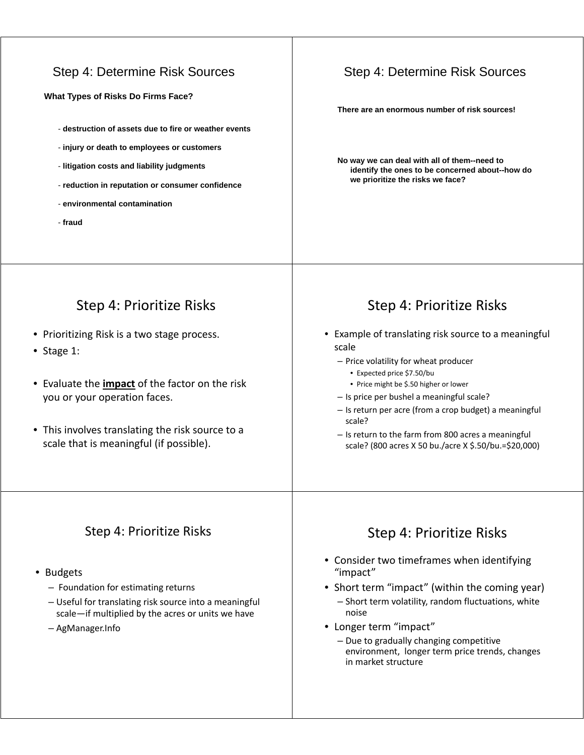#### Step 4: Determine Risk Sources

**What Types of Risks Do Firms Face?**

- **destruction of assets due to fire or weather events**
- **injury or death to employees or customers**
- **liti ti t d li bilit j d t litigation costs and liability judgments**
- **reduction in reputation or consumer confidence**
- **environmental contamination**
- **fraud**

#### Step 4: Determine Risk Sources

**There are an enormous number of risk sources! There are an enormous number of risk**

**No way we can deal with all of them--need to identify the ones to be concerned about--how do we prioritize the risks we face?**

# Step 4: Prioritize Risks

- Prioritizing Risk is a two stage process.
- Stage 1:
- Evaluate the **impact** of the factor on the risk you or your operation faces.
- This involves translating the risk source to a scale that is meaningful (if possible).

#### Step 4: Prioritize Risks

- Example of translating risk source to a meaning ful scale
	- $-$  Price volatility for wheat producer
		- Expected price \$7.50/bu
		- Price might be \$.50 higher or lower
	- Is price per bushel a meaningful scale?
	- Is return per acre (from a crop budget) a meaningful scale?
	- Is return to the farm from 800 acres a meaningful scale? (800 acres X 50 bu./acre X \$.50/bu.=\$20,000)

#### Step 4: Prioritize Risks

- Budgets
	- Foundation for estimating returns
	- Useful for translating risk source into a meaningful scale—if multiplied by the acres or units we have
	- AgManager.Info

- Consider two timeframes when identifying "impact"
- Short term "impact" (within the coming year) – Short term volatility, random fluctuations, white noise
- Longer term "impact"
	- Due to gradually changing competitive environment, longer term price trends, changes in market structure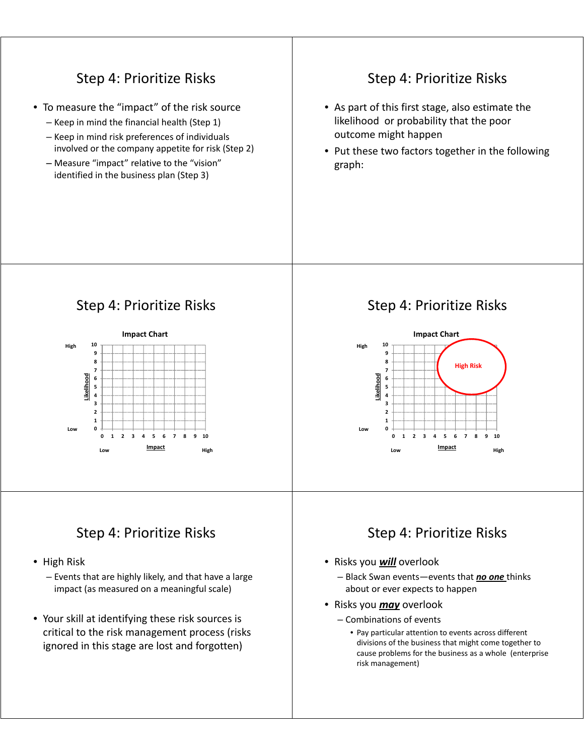#### Step 4: Prioritize Risks • To measure the "impact" of the risk source – Keep in mind the financial health (Step 1)  $-$  Keep in mind risk preferences of individuals involved or the company appetite for risk (Step 2)  $-$  Measure "impact" relative to the "vision" identified in the business plan (Step 3) Step 4: Prioritize Risks • As part of this first stage, also estimate the likelihood or probability that the poor outcome might happen • Put these two factors together in the following graph:

# Step 4: Prioritize Risks



# Step 4: Prioritize Risks

- $\bullet$  High Risk
	- Events that are highly likely, and that have a large impact (as measured on a meaningful scale)
- Your skill at identifying these risk sources is critical to the risk management process (risks ignored in this stage are lost and forgotten)

# Step 4: Prioritize Risks



- Risks you **will** overlook
	- Black Swan events—events that *no one* thinks about or ever expects to happen
- Risks you *may* overlook
	- $-$  Combinations of events
		- Pay particular attention to events across different divisions of the business that might come together to cause problems for the business as a whole (enterprise risk management)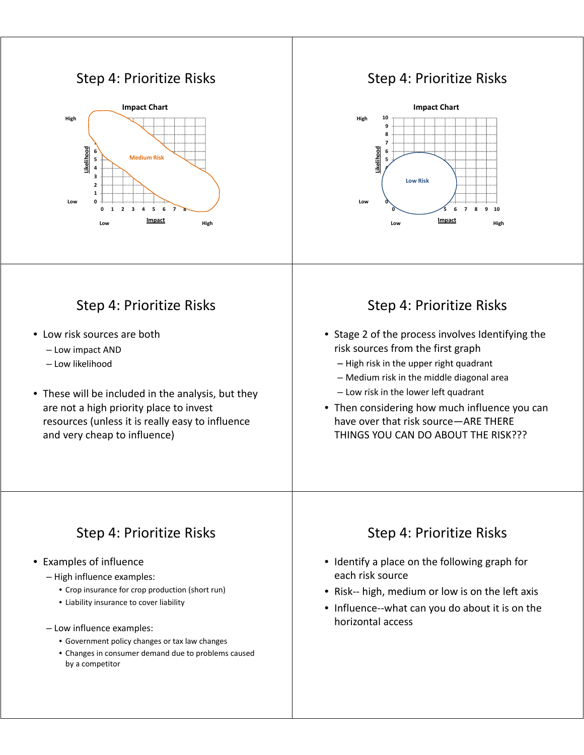#### Step 4: Prioritize Risks



# Step 4: Prioritize Risks

- Low risk sources are both
	- Low impact AND
	- Low likelihood
- These will be included in the analysis, but they are not a high priority place to invest resources (unless it is really easy to influence and very cheap to influence)

#### Step 4: Prioritize Risks



#### Step 4: Prioritize Risks

- Stage 2 of the process involves Identifying the risk sources from the first graph
	- $-$  High risk in the upper right quadrant
	- Medium risk in the middle diagonal area
	- $-$  Low risk in the lower left quadrant
- Then considering how much influence you can have over that risk source-ARE THERE THINGS YOU CAN DO ABOUT THE RISK???

## Step 4: Prioritize Risks

#### • Examples of influence

- High influence examples:
	- Crop insurance for crop production (short run)
	- Liability insurance to cover liability
- Low influence examples:
	- Government policy changes or tax law changes
	- Changes in consumer demand due to problems caused by a competitor

- Identify a place on the following graph for each risk source
- Risk-- high, medium or low is on the left axis
- Influence--what can you do about it is on the horizontal access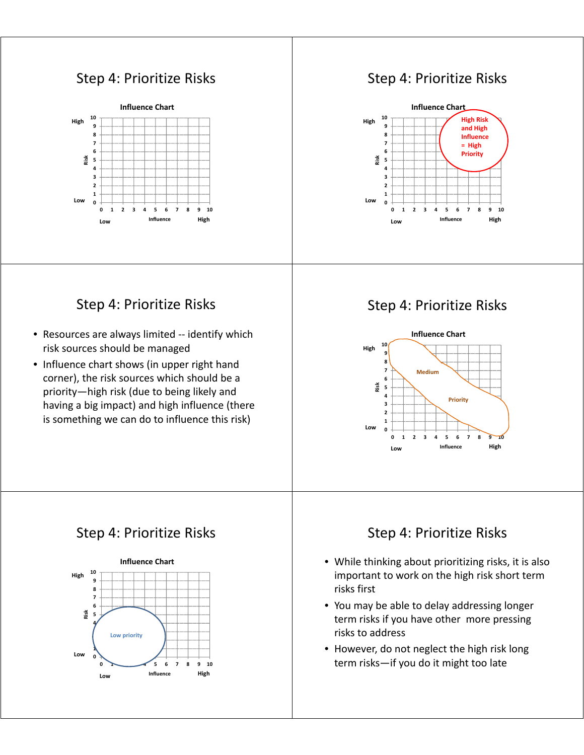# Step 4: Prioritize Risks



## Step 4: Prioritize Risks



## Step 4: Prioritize Risks

- Resources are always limited -- identify which risk sources should be managed
- Influence chart shows (in upper right hand corner), the risk sources which should be a priority—high risk (due to being likely and having a big impact) and high influence (there is something we can do to influence this risk)

# Step 4: Prioritize Risks



# Step 4: Prioritize Risks



- While thinking about prioritizing risks, it is also important to work on the high risk short term risks first
- You may be able to delay addressing longer term risks if you have other more pressing risks to address
- However, do not neglect the high risk long term risks—if you do it might too late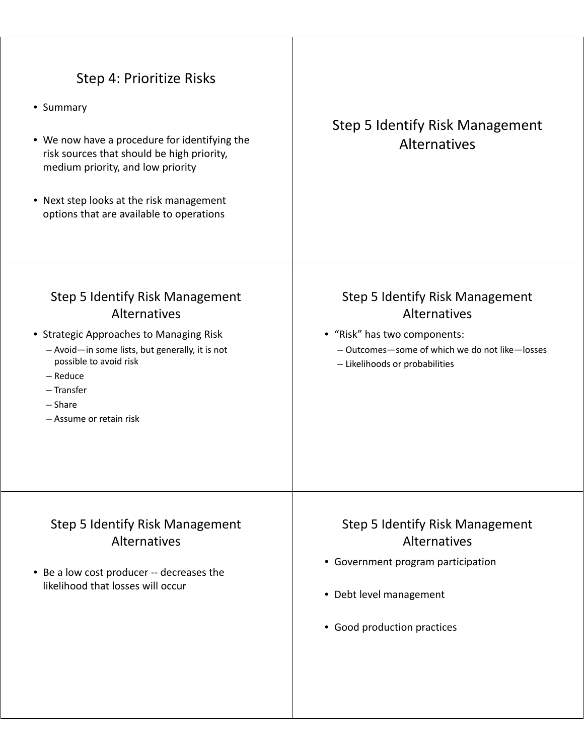| Step 4: Prioritize Risks<br>• Summary<br>• We now have a procedure for identifying the<br>risk sources that should be high priority,<br>medium priority, and low priority<br>• Next step looks at the risk management<br>options that are available to operations | Step 5 Identify Risk Management<br><b>Alternatives</b>                                                                                                                     |
|-------------------------------------------------------------------------------------------------------------------------------------------------------------------------------------------------------------------------------------------------------------------|----------------------------------------------------------------------------------------------------------------------------------------------------------------------------|
| <b>Step 5 Identify Risk Management</b><br>Alternatives<br>• Strategic Approaches to Managing Risk<br>- Avoid-in some lists, but generally, it is not<br>possible to avoid risk<br>- Reduce<br>- Transfer<br>$-$ Share<br>- Assume or retain risk                  | <b>Step 5 Identify Risk Management</b><br>Alternatives<br>• "Risk" has two components:<br>- Outcomes-some of which we do not like-losses<br>- Likelihoods or probabilities |
| <b>Step 5 Identify Risk Management</b><br>Alternatives<br>• Be a low cost producer -- decreases the<br>likelihood that losses will occur                                                                                                                          | <b>Step 5 Identify Risk Management</b><br>Alternatives<br>• Government program participation<br>• Debt level management<br>• Good production practices                     |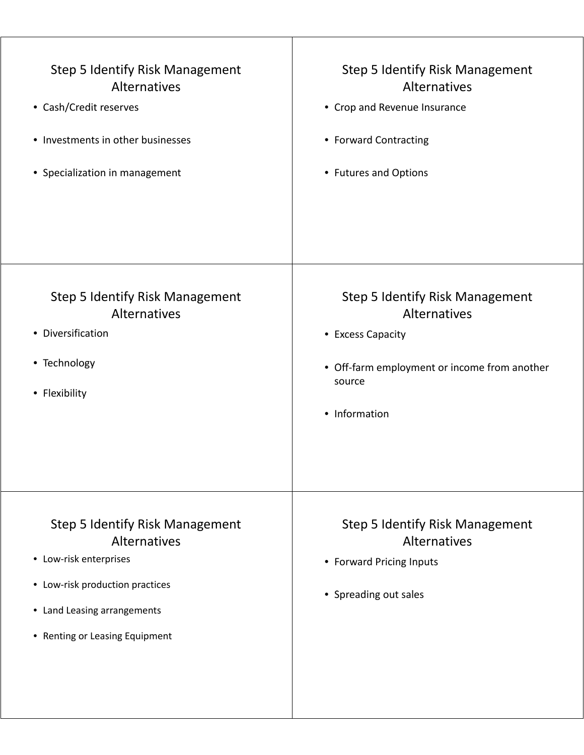| <b>Step 5 Identify Risk Management</b><br>Alternatives<br>• Cash/Credit reserves<br>• Investments in other businesses<br>• Specialization in management                              | <b>Step 5 Identify Risk Management</b><br>Alternatives<br>• Crop and Revenue Insurance<br>• Forward Contracting<br>• Futures and Options               |
|--------------------------------------------------------------------------------------------------------------------------------------------------------------------------------------|--------------------------------------------------------------------------------------------------------------------------------------------------------|
| <b>Step 5 Identify Risk Management</b><br>Alternatives<br>• Diversification<br>• Technology<br>• Flexibility                                                                         | <b>Step 5 Identify Risk Management</b><br>Alternatives<br>• Excess Capacity<br>• Off-farm employment or income from another<br>source<br>• Information |
| <b>Step 5 Identify Risk Management</b><br>Alternatives<br>• Low-risk enterprises<br>• Low-risk production practices<br>• Land Leasing arrangements<br>• Renting or Leasing Equipment | <b>Step 5 Identify Risk Management</b><br>Alternatives<br>• Forward Pricing Inputs<br>• Spreading out sales                                            |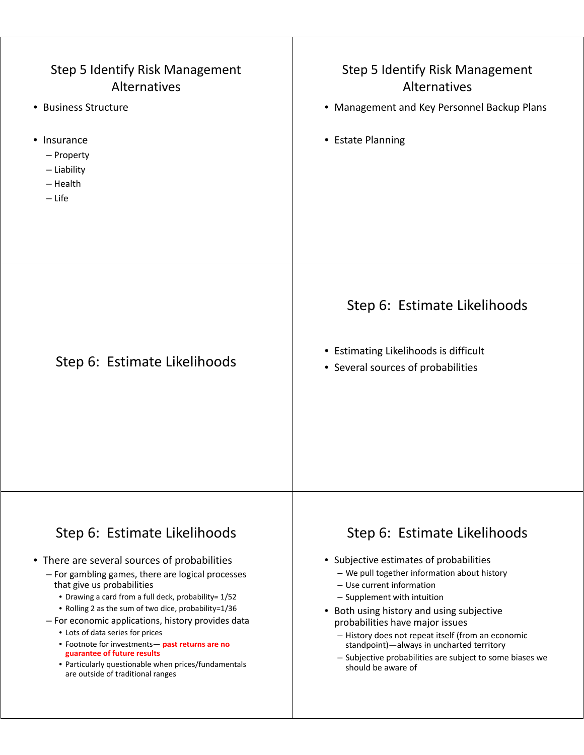| <b>Step 5 Identify Risk Management</b><br>Alternatives<br>• Business Structure<br>Insurance<br>٠<br>- Property<br>- Liability<br>$-$ Health<br>$-$ Life                                                                                                                                                                                                                                                                                                                                                                                                  | <b>Step 5 Identify Risk Management</b><br>Alternatives<br>• Management and Key Personnel Backup Plans<br>• Estate Planning                                                                                                                                                                                                                                                                                                                             |
|----------------------------------------------------------------------------------------------------------------------------------------------------------------------------------------------------------------------------------------------------------------------------------------------------------------------------------------------------------------------------------------------------------------------------------------------------------------------------------------------------------------------------------------------------------|--------------------------------------------------------------------------------------------------------------------------------------------------------------------------------------------------------------------------------------------------------------------------------------------------------------------------------------------------------------------------------------------------------------------------------------------------------|
| Step 6: Estimate Likelihoods                                                                                                                                                                                                                                                                                                                                                                                                                                                                                                                             | Step 6: Estimate Likelihoods<br>• Estimating Likelihoods is difficult<br>• Several sources of probabilities                                                                                                                                                                                                                                                                                                                                            |
| Step 6: Estimate Likelihoods<br>• There are several sources of probabilities<br>- For gambling games, there are logical processes<br>that give us probabilities<br>• Drawing a card from a full deck, probability= 1/52<br>• Rolling 2 as the sum of two dice, probability=1/36<br>- For economic applications, history provides data<br>• Lots of data series for prices<br>• Footnote for investments- past returns are no<br>guarantee of future results<br>• Particularly questionable when prices/fundamentals<br>are outside of traditional ranges | Step 6: Estimate Likelihoods<br>• Subjective estimates of probabilities<br>- We pull together information about history<br>- Use current information<br>- Supplement with intuition<br>Both using history and using subjective<br>probabilities have major issues<br>- History does not repeat itself (from an economic<br>standpoint)-always in uncharted territory<br>- Subjective probabilities are subject to some biases we<br>should be aware of |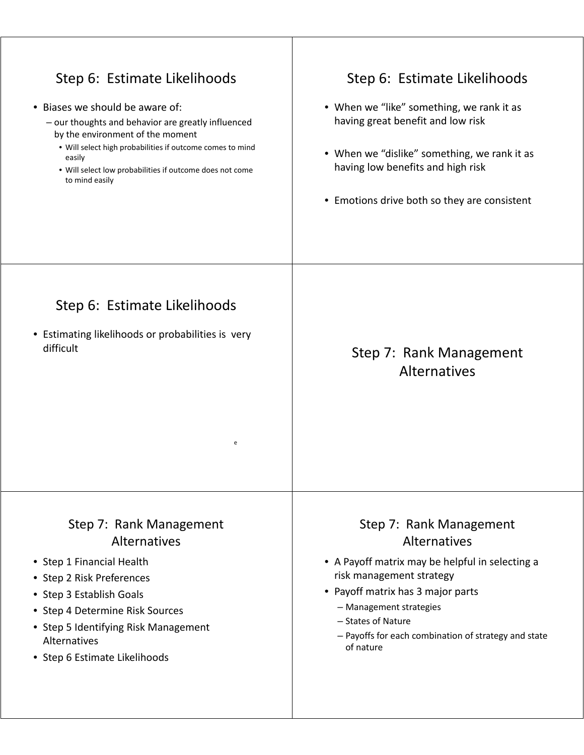| Step 6: Estimate Likelihoods<br>• Biases we should be aware of:<br>- our thoughts and behavior are greatly influenced<br>by the environment of the moment<br>. Will select high probabilities if outcome comes to mind<br>easily<br>. Will select low probabilities if outcome does not come<br>to mind easily | Step 6: Estimate Likelihoods<br>• When we "like" something, we rank it as<br>having great benefit and low risk<br>• When we "dislike" something, we rank it as<br>having low benefits and high risk<br>• Emotions drive both so they are consistent                               |
|----------------------------------------------------------------------------------------------------------------------------------------------------------------------------------------------------------------------------------------------------------------------------------------------------------------|-----------------------------------------------------------------------------------------------------------------------------------------------------------------------------------------------------------------------------------------------------------------------------------|
| Step 6: Estimate Likelihoods<br>• Estimating likelihoods or probabilities is very<br>difficult<br>e                                                                                                                                                                                                            | Step 7: Rank Management<br>Alternatives                                                                                                                                                                                                                                           |
| Step 7: Rank Management<br>Alternatives<br>• Step 1 Financial Health<br>• Step 2 Risk Preferences<br>• Step 3 Establish Goals<br>• Step 4 Determine Risk Sources<br>• Step 5 Identifying Risk Management<br>Alternatives<br>• Step 6 Estimate Likelihoods                                                      | Step 7: Rank Management<br>Alternatives<br>• A Payoff matrix may be helpful in selecting a<br>risk management strategy<br>• Payoff matrix has 3 major parts<br>- Management strategies<br>- States of Nature<br>- Payoffs for each combination of strategy and state<br>of nature |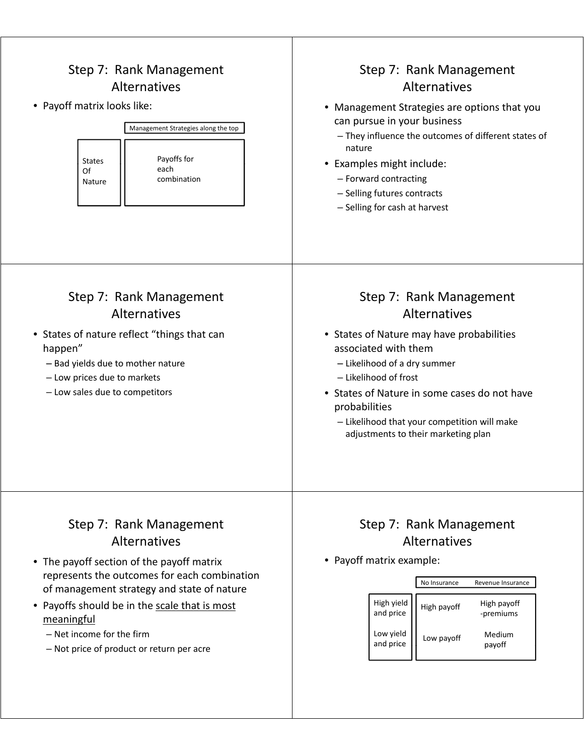| Step 7: Rank Management<br><b>Alternatives</b><br>• Payoff matrix looks like:<br>Management Strategies along the top<br>Payoffs for<br><b>States</b><br>each<br>Of<br>combination<br>Nature                                                                                                                                          | Step 7: Rank Management<br>Alternatives<br>• Management Strategies are options that you<br>can pursue in your business<br>- They influence the outcomes of different states of<br>nature<br>• Examples might include:<br>- Forward contracting<br>- Selling futures contracts<br>- Selling for cash at harvest                |
|--------------------------------------------------------------------------------------------------------------------------------------------------------------------------------------------------------------------------------------------------------------------------------------------------------------------------------------|-------------------------------------------------------------------------------------------------------------------------------------------------------------------------------------------------------------------------------------------------------------------------------------------------------------------------------|
| Step 7: Rank Management<br><b>Alternatives</b><br>• States of nature reflect "things that can<br>happen"<br>- Bad yields due to mother nature<br>- Low prices due to markets<br>- Low sales due to competitors                                                                                                                       | Step 7: Rank Management<br>Alternatives<br>• States of Nature may have probabilities<br>associated with them<br>- Likelihood of a dry summer<br>- Likelihood of frost<br>• States of Nature in some cases do not have<br>probabilities<br>- Likelihood that your competition will make<br>adjustments to their marketing plan |
| Step 7: Rank Management<br><b>Alternatives</b><br>• The payoff section of the payoff matrix<br>represents the outcomes for each combination<br>of management strategy and state of nature<br>• Payoffs should be in the scale that is most<br>meaningful<br>$-$ Net income for the firm<br>- Not price of product or return per acre | Step 7: Rank Management<br>Alternatives<br>• Payoff matrix example:<br>No Insurance<br>Revenue Insurance<br>High yield<br>High payoff<br>High payoff<br>and price<br>-premiums<br>Low yield<br>Medium<br>Low payoff<br>and price<br>payoff                                                                                    |